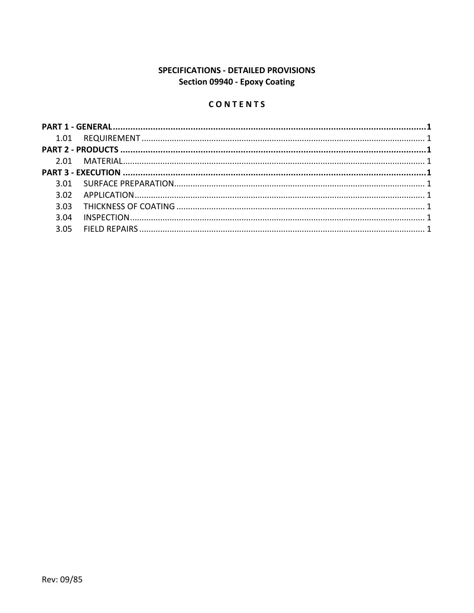# **SPECIFICATIONS - DETAILED PROVISIONS** Section 09940 - Epoxy Coating

# CONTENTS

| 3.04 |  |
|------|--|
|      |  |
|      |  |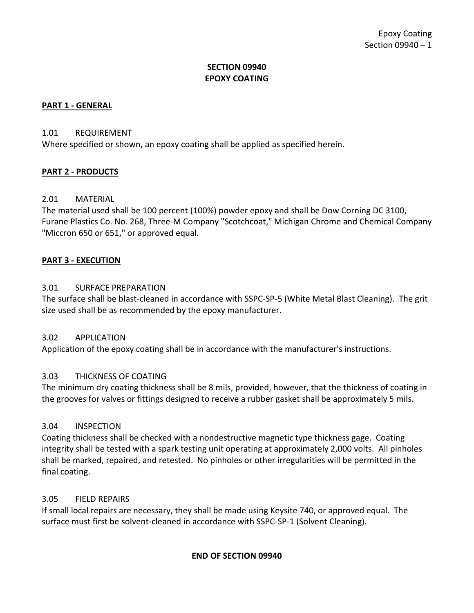## **SECTION 09940 EPOXY COATING**

## <span id="page-2-0"></span>**PART 1 - GENERAL**

#### <span id="page-2-1"></span>1.01 REQUIREMENT

Where specified or shown, an epoxy coating shall be applied as specified herein.

## <span id="page-2-2"></span>**PART 2 - PRODUCTS**

## <span id="page-2-3"></span>2.01 MATERIAL

The material used shall be 100 percent (100%) powder epoxy and shall be Dow Corning DC 3100, Furane Plastics Co. No. 268, Three-M Company "Scotchcoat," Michigan Chrome and Chemical Company "Miccron 650 or 651," or approved equal.

### <span id="page-2-4"></span>**PART 3 - EXECUTION**

### <span id="page-2-5"></span>3.01 SURFACE PREPARATION

The surface shall be blast-cleaned in accordance with SSPC-SP-5 (White Metal Blast Cleaning). The grit size used shall be as recommended by the epoxy manufacturer.

#### <span id="page-2-6"></span>3.02 APPLICATION

Application of the epoxy coating shall be in accordance with the manufacturer's instructions.

## <span id="page-2-7"></span>3.03 THICKNESS OF COATING

The minimum dry coating thickness shall be 8 mils, provided, however, that the thickness of coating in the grooves for valves or fittings designed to receive a rubber gasket shall be approximately 5 mils.

#### <span id="page-2-8"></span>3.04 INSPECTION

Coating thickness shall be checked with a nondestructive magnetic type thickness gage. Coating integrity shall be tested with a spark testing unit operating at approximately 2,000 volts. All pinholes shall be marked, repaired, and retested. No pinholes or other irregularities will be permitted in the final coating.

## <span id="page-2-9"></span>3.05 FIELD REPAIRS

If small local repairs are necessary, they shall be made using Keysite 740, or approved equal. The surface must first be solvent-cleaned in accordance with SSPC-SP-1 (Solvent Cleaning).

## **END OF SECTION 09940**